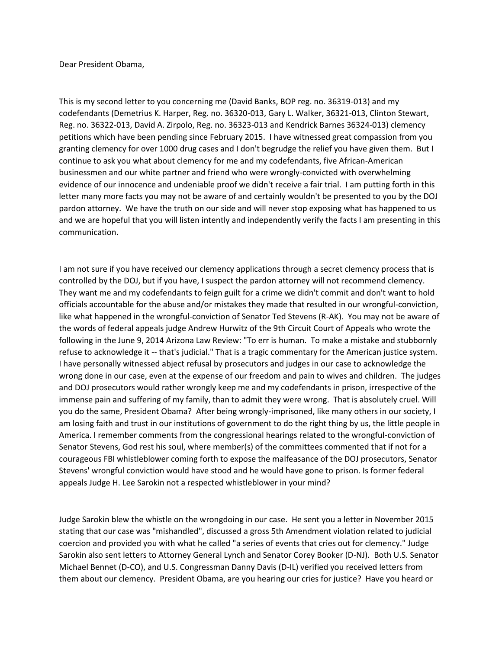Dear President Obama,

This is my second letter to you concerning me (David Banks, BOP reg. no. 36319-013) and my codefendants (Demetrius K. Harper, Reg. no. 36320-013, Gary L. Walker, 36321-013, Clinton Stewart, Reg. no. 36322-013, David A. Zirpolo, Reg. no. 36323-013 and Kendrick Barnes 36324-013) clemency petitions which have been pending since February 2015. I have witnessed great compassion from you granting clemency for over 1000 drug cases and I don't begrudge the relief you have given them. But I continue to ask you what about clemency for me and my codefendants, five African-American businessmen and our white partner and friend who were wrongly-convicted with overwhelming evidence of our innocence and undeniable proof we didn't receive a fair trial. I am putting forth in this letter many more facts you may not be aware of and certainly wouldn't be presented to you by the DOJ pardon attorney. We have the truth on our side and will never stop exposing what has happened to us and we are hopeful that you will listen intently and independently verify the facts I am presenting in this communication.

I am not sure if you have received our clemency applications through a secret clemency process that is controlled by the DOJ, but if you have, I suspect the pardon attorney will not recommend clemency. They want me and my codefendants to feign guilt for a crime we didn't commit and don't want to hold officials accountable for the abuse and/or mistakes they made that resulted in our wrongful-conviction, like what happened in the wrongful-conviction of Senator Ted Stevens (R-AK). You may not be aware of the words of federal appeals judge Andrew Hurwitz of the 9th Circuit Court of Appeals who wrote the following in the June 9, 2014 Arizona Law Review: "To err is human. To make a mistake and stubbornly refuse to acknowledge it -- that's judicial." That is a tragic commentary for the American justice system. I have personally witnessed abject refusal by prosecutors and judges in our case to acknowledge the wrong done in our case, even at the expense of our freedom and pain to wives and children. The judges and DOJ prosecutors would rather wrongly keep me and my codefendants in prison, irrespective of the immense pain and suffering of my family, than to admit they were wrong. That is absolutely cruel. Will you do the same, President Obama? After being wrongly-imprisoned, like many others in our society, I am losing faith and trust in our institutions of government to do the right thing by us, the little people in America. I remember comments from the congressional hearings related to the wrongful-conviction of Senator Stevens, God rest his soul, where member(s) of the committees commented that if not for a courageous FBI whistleblower coming forth to expose the malfeasance of the DOJ prosecutors, Senator Stevens' wrongful conviction would have stood and he would have gone to prison. Is former federal appeals Judge H. Lee Sarokin not a respected whistleblower in your mind?

Judge Sarokin blew the whistle on the wrongdoing in our case. He sent you a letter in November 2015 stating that our case was "mishandled", discussed a gross 5th Amendment violation related to judicial coercion and provided you with what he called "a series of events that cries out for clemency." Judge Sarokin also sent letters to Attorney General Lynch and Senator Corey Booker (D-NJ). Both U.S. Senator Michael Bennet (D-CO), and U.S. Congressman Danny Davis (D-IL) verified you received letters from them about our clemency. President Obama, are you hearing our cries for justice? Have you heard or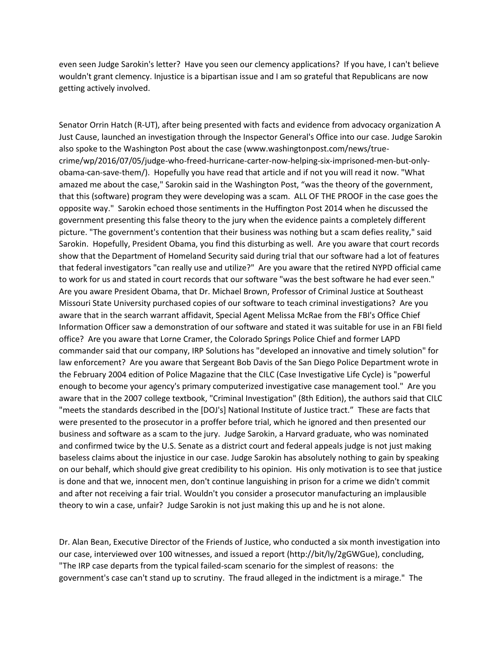even seen Judge Sarokin's letter? Have you seen our clemency applications? If you have, I can't believe wouldn't grant clemency. Injustice is a bipartisan issue and I am so grateful that Republicans are now getting actively involved.

Senator Orrin Hatch (R-UT), after being presented with facts and evidence from advocacy organization A Just Cause, launched an investigation through the Inspector General's Office into our case. Judge Sarokin also spoke to the Washington Post about the case (www.washingtonpost.com/news/truecrime/wp/2016/07/05/judge-who-freed-hurricane-carter-now-helping-six-imprisoned-men-but-onlyobama-can-save-them/). Hopefully you have read that article and if not you will read it now. "What amazed me about the case," Sarokin said in the Washington Post, "was the theory of the government, that this (software) program they were developing was a scam. ALL OF THE PROOF in the case goes the opposite way." Sarokin echoed those sentiments in the Huffington Post 2014 when he discussed the government presenting this false theory to the jury when the evidence paints a completely different picture. "The government's contention that their business was nothing but a scam defies reality," said Sarokin. Hopefully, President Obama, you find this disturbing as well. Are you aware that court records show that the Department of Homeland Security said during trial that our software had a lot of features that federal investigators "can really use and utilize?" Are you aware that the retired NYPD official came to work for us and stated in court records that our software "was the best software he had ever seen." Are you aware President Obama, that Dr. Michael Brown, Professor of Criminal Justice at Southeast Missouri State University purchased copies of our software to teach criminal investigations? Are you aware that in the search warrant affidavit, Special Agent Melissa McRae from the FBI's Office Chief Information Officer saw a demonstration of our software and stated it was suitable for use in an FBI field office? Are you aware that Lorne Cramer, the Colorado Springs Police Chief and former LAPD commander said that our company, IRP Solutions has "developed an innovative and timely solution" for law enforcement? Are you aware that Sergeant Bob Davis of the San Diego Police Department wrote in the February 2004 edition of Police Magazine that the CILC (Case Investigative Life Cycle) is "powerful enough to become your agency's primary computerized investigative case management tool." Are you aware that in the 2007 college textbook, "Criminal Investigation" (8th Edition), the authors said that CILC "meets the standards described in the [DOJ's] National Institute of Justice tract." These are facts that were presented to the prosecutor in a proffer before trial, which he ignored and then presented our business and software as a scam to the jury. Judge Sarokin, a Harvard graduate, who was nominated and confirmed twice by the U.S. Senate as a district court and federal appeals judge is not just making baseless claims about the injustice in our case. Judge Sarokin has absolutely nothing to gain by speaking on our behalf, which should give great credibility to his opinion. His only motivation is to see that justice is done and that we, innocent men, don't continue languishing in prison for a crime we didn't commit and after not receiving a fair trial. Wouldn't you consider a prosecutor manufacturing an implausible theory to win a case, unfair? Judge Sarokin is not just making this up and he is not alone.

Dr. Alan Bean, Executive Director of the Friends of Justice, who conducted a six month investigation into our case, interviewed over 100 witnesses, and issued a report (http://bit/ly/2gGWGue), concluding, "The IRP case departs from the typical failed-scam scenario for the simplest of reasons: the government's case can't stand up to scrutiny. The fraud alleged in the indictment is a mirage." The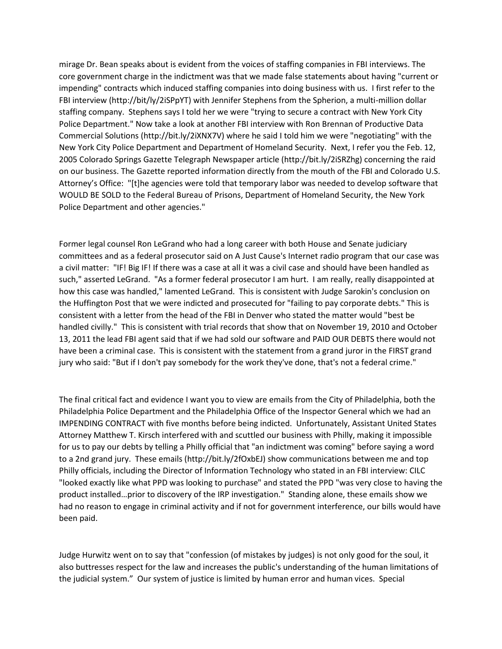mirage Dr. Bean speaks about is evident from the voices of staffing companies in FBI interviews. The core government charge in the indictment was that we made false statements about having "current or impending" contracts which induced staffing companies into doing business with us. I first refer to the FBI interview (http://bit/ly/2iSPpYT) with Jennifer Stephens from the Spherion, a multi-million dollar staffing company. Stephens says I told her we were "trying to secure a contract with New York City Police Department." Now take a look at another FBI interview with Ron Brennan of Productive Data Commercial Solutions (http://bit.ly/2iXNX7V) where he said I told him we were "negotiating" with the New York City Police Department and Department of Homeland Security. Next, I refer you the Feb. 12, 2005 Colorado Springs Gazette Telegraph Newspaper article (http://bit.ly/2iSRZhg) concerning the raid on our business. The Gazette reported information directly from the mouth of the FBI and Colorado U.S. Attorney's Office: "[t]he agencies were told that temporary labor was needed to develop software that WOULD BE SOLD to the Federal Bureau of Prisons, Department of Homeland Security, the New York Police Department and other agencies."

Former legal counsel Ron LeGrand who had a long career with both House and Senate judiciary committees and as a federal prosecutor said on A Just Cause's Internet radio program that our case was a civil matter: "IF! Big IF! If there was a case at all it was a civil case and should have been handled as such," asserted LeGrand. "As a former federal prosecutor I am hurt. I am really, really disappointed at how this case was handled," lamented LeGrand. This is consistent with Judge Sarokin's conclusion on the Huffington Post that we were indicted and prosecuted for "failing to pay corporate debts." This is consistent with a letter from the head of the FBI in Denver who stated the matter would "best be handled civilly." This is consistent with trial records that show that on November 19, 2010 and October 13, 2011 the lead FBI agent said that if we had sold our software and PAID OUR DEBTS there would not have been a criminal case. This is consistent with the statement from a grand juror in the FIRST grand jury who said: "But if I don't pay somebody for the work they've done, that's not a federal crime."

The final critical fact and evidence I want you to view are emails from the City of Philadelphia, both the Philadelphia Police Department and the Philadelphia Office of the Inspector General which we had an IMPENDING CONTRACT with five months before being indicted. Unfortunately, Assistant United States Attorney Matthew T. Kirsch interfered with and scuttled our business with Philly, making it impossible for us to pay our debts by telling a Philly official that "an indictment was coming" before saying a word to a 2nd grand jury. These emails (http://bit.ly/2fOxbEJ) show communications between me and top Philly officials, including the Director of Information Technology who stated in an FBI interview: CILC "looked exactly like what PPD was looking to purchase" and stated the PPD "was very close to having the product installed…prior to discovery of the IRP investigation." Standing alone, these emails show we had no reason to engage in criminal activity and if not for government interference, our bills would have been paid.

Judge Hurwitz went on to say that "confession (of mistakes by judges) is not only good for the soul, it also buttresses respect for the law and increases the public's understanding of the human limitations of the judicial system." Our system of justice is limited by human error and human vices. Special